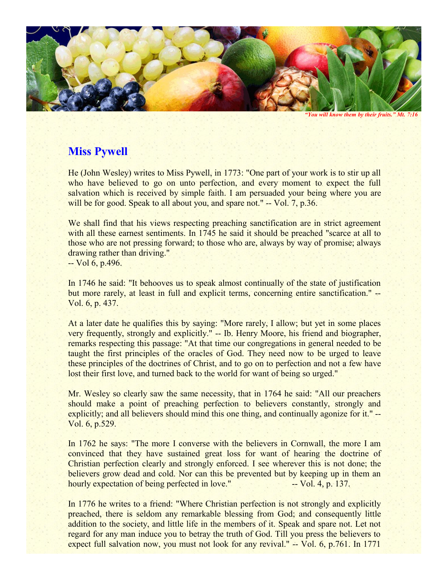

*"You will know them by their fruits." Mt. 7:16* 

## **Miss Pywell**

He (John Wesley) writes to Miss Pywell, in 1773: "One part of your work is to stir up all who have believed to go on unto perfection, and every moment to expect the full salvation which is received by simple faith. I am persuaded your being where you are will be for good. Speak to all about you, and spare not." -- Vol. 7, p.36.

We shall find that his views respecting preaching sanctification are in strict agreement with all these earnest sentiments. In 1745 he said it should be preached "scarce at all to those who are not pressing forward; to those who are, always by way of promise; always drawing rather than driving." -- Vol 6, p.496.

In 1746 he said: "It behooves us to speak almost continually of the state of justification but more rarely, at least in full and explicit terms, concerning entire sanctification." -- Vol. 6, p. 437.

At a later date he qualifies this by saying: "More rarely, I allow; but yet in some places very frequently, strongly and explicitly." -- Ib. Henry Moore, his friend and biographer, remarks respecting this passage: "At that time our congregations in general needed to be taught the first principles of the oracles of God. They need now to be urged to leave these principles of the doctrines of Christ, and to go on to perfection and not a few have lost their first love, and turned back to the world for want of being so urged."

Mr. Wesley so clearly saw the same necessity, that in 1764 he said: "All our preachers should make a point of preaching perfection to believers constantly, strongly and explicitly; and all believers should mind this one thing, and continually agonize for it." --Vol. 6, p.529.

In 1762 he says: "The more I converse with the believers in Cornwall, the more I am convinced that they have sustained great loss for want of hearing the doctrine of Christian perfection clearly and strongly enforced. I see wherever this is not done; the believers grow dead and cold. Nor can this be prevented but by keeping up in them an hourly expectation of being perfected in love." -- Vol. 4, p. 137.

In 1776 he writes to a friend: "Where Christian perfection is not strongly and explicitly preached, there is seldom any remarkable blessing from God; and consequently little addition to the society, and little life in the members of it. Speak and spare not. Let not regard for any man induce you to betray the truth of God. Till you press the believers to expect full salvation now, you must not look for any revival." -- Vol. 6, p.761. In 1771